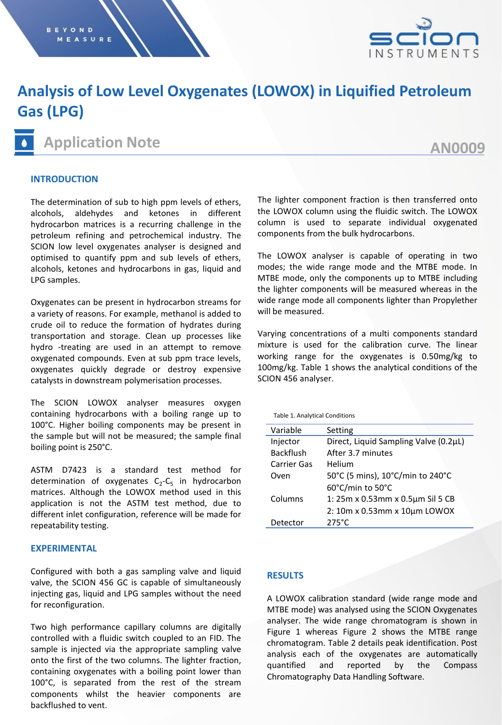

# **Analysis of Low Level Oxygenates (LOWOX) in Liquified Petroleum Gas (LPG)**

## **Application Note**

## **AN0009**

#### **INTRODUCTION**

The determination of sub to high ppm levels of ethers, alcohols, aldehydes and ketones in different hydrocarbon matrices is a recurring challenge in the petroleum refining and petrochemical industry. The SCION low level oxygenates analyser is designed and optimised to quantify ppm and sub levels of ethers, alcohols, ketones and hydrocarbons in gas, liquid and LPG samples.

Oxygenates can be present in hydrocarbon streams for a variety of reasons. For example, methanol is added to crude oil to reduce the formation of hydrates during transportation and storage. Clean up processes like hydro -treating are used in an attempt to remove oxygenated compounds. Even at sub ppm trace levels, oxygenates quickly degrade or destroy expensive catalysts in downstream polymerisation processes.

The SCION LOWOX analyser measures oxygen containing hydrocarbons with a boiling range up to 100°C. Higher boiling components may be present in the sample but will not be measured; the sample final boiling point is 250°C.

ASTM D7423 is a standard test method for determination of oxygenates  $C_2$ - $C_5$  in hydrocarbon matrices. Although the LOWOX method used in this application is not the ASTM test method, due to different inlet configuration, reference will be made for repeatability testing.

#### **EXPERIMENTAL**

Configured with both a gas sampling valve and liquid valve, the SCION 456 GC is capable of simultaneously injecting gas, liquid and LPG samples without the need for reconfiguration.

Two high performance capillary columns are digitally controlled with a fluidic switch coupled to an FID. The sample is injected via the appropriate sampling valve onto the first of the two columns. The lighter fraction, containing oxygenates with a boiling point lower than 100°C, is separated from the rest of the stream components whilst the heavier components are backflushed to vent.

The lighter component fraction is then transferred onto the LOWOX column using the fluidic switch. The LOWOX column is used to separate individual oxygenated components from the bulk hydrocarbons.

The LOWOX analyser is capable of operating in two modes; the wide range mode and the MTBE mode. In MTBE mode, only the components up to MTBE including the lighter components will be measured whereas in the wide range mode all components lighter than Propylether will be measured.

Varying concentrations of a multi components standard mixture is used for the calibration curve. The linear working range for the oxygenates is 0.50mg/kg to 100mg/kg. Table 1 shows the analytical conditions of the SCION 456 analyser.

| <b>Table 1. Analytical Conditions</b> |                                       |  |
|---------------------------------------|---------------------------------------|--|
| Variable                              | Setting                               |  |
| Injector                              | Direct, Liquid Sampling Valve (0.2µL) |  |
| <b>Backflush</b>                      | After 3.7 minutes                     |  |
| Carrier Gas                           | Helium                                |  |
| Oven                                  | 50°C (5 mins), 10°C/min to 240°C      |  |
|                                       | 60°C/min to 50°C                      |  |
| Columns                               | 1: 25m x 0.53mm x 0.5µm Sil 5 CB      |  |
|                                       | 2: 10m x 0.53mm x 10um LOWOX          |  |
| Detector                              | $275^{\circ}$ C                       |  |

### **RESULTS**

A LOWOX calibration standard (wide range mode and MTBE mode) was analysed using the SCION Oxygenates analyser. The wide range chromatogram is shown in Figure 1 whereas Figure 2 shows the MTBE range chromatogram. Table 2 details peak identification. Post analysis each of the oxygenates are automatically quantified and reported by the Compass Chromatography Data Handling Software.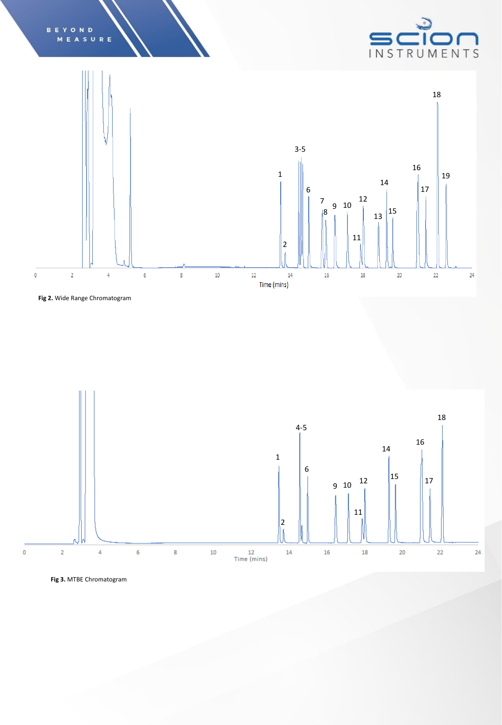



**Fig 2.** Wide Range Chromatogram

B E

YOND



**Fig 3.** MTBE Chromatogram